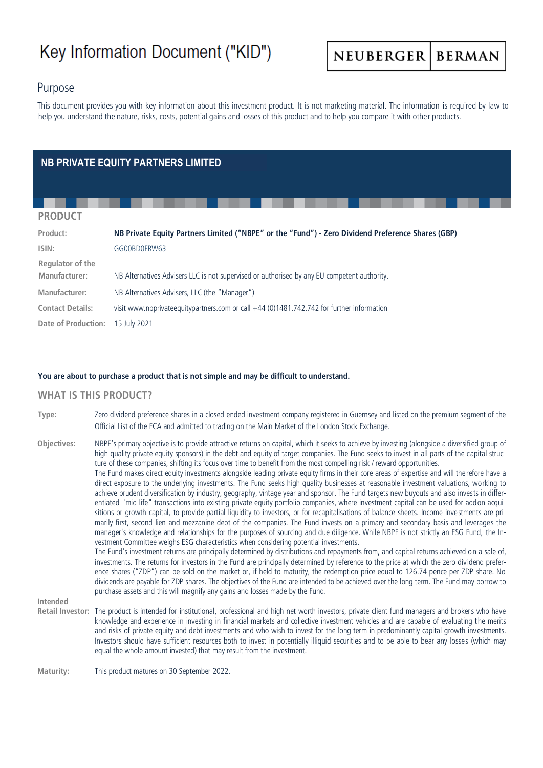# Key Information Document ("KID")

NEUBERGER **BERMAN** 

# Purpose

This document provides you with key information about this investment product. It is not marketing material. The information is required by law to help you understand the nature, risks, costs, potential gains and losses of this product and to help you compare it with other products.

# **NB PRIVATE EQUITY PARTNERS LIMITED**

#### **PRODUCT**

| Product:                          | NB Private Equity Partners Limited ("NBPE" or the "Fund") - Zero Dividend Preference Shares (GBP) |  |
|-----------------------------------|---------------------------------------------------------------------------------------------------|--|
| ISIN:                             | GG00BD0FRW63                                                                                      |  |
| Regulator of the<br>Manufacturer: | NB Alternatives Advisers LLC is not supervised or authorised by any EU competent authority.       |  |
| Manufacturer:                     | NB Alternatives Advisers, LLC (the "Manager")                                                     |  |
| <b>Contact Details:</b>           | visit www.nbprivateequitypartners.com or call +44 (0)1481.742.742 for further information         |  |
| <b>Date of Production:</b>        | 15 July 2021                                                                                      |  |

#### **You are about to purchase a product that is not simple and may be difficult to understand.**

#### **WHAT IS THIS PRODUCT?**

**Type:** Zero dividend preference shares in a closed-ended investment company registered in Guernsey and listed on the premium segment of the Official List of the FCA and admitted to trading on the Main Market of the London Stock Exchange.

**Objectives:** NBPE's primary objective is to provide attractive returns on capital, which it seeks to achieve by investing (alongside a diversified group of high-quality private equity sponsors) in the debt and equity of target companies. The Fund seeks to invest in all parts of the capital structure of these companies, shifting its focus over time to benefit from the most compelling risk / reward opportunities. The Fund makes direct equity investments alongside leading private equity firms in their core areas of expertise and will therefore have a direct exposure to the underlying investments. The Fund seeks high quality businesses at reasonable investment valuations, working to achieve prudent diversification by industry, geography, vintage year and sponsor. The Fund targets new buyouts and also invests in differentiated "mid-life" transactions into existing private equity portfolio companies, where investment capital can be used for add-on acquisitions or growth capital, to provide partial liquidity to investors, or for recapitalisations of balance sheets. Income investments are primarily first, second lien and mezzanine debt of the companies. The Fund invests on a primary and secondary basis and leverages the manager's knowledge and relationships for the purposes of sourcing and due diligence. While NBPE is not strictly an ESG Fund, the Investment Committee weighs ESG characteristics when considering potential investments. The Fund's investment returns are principally determined by distributions and repayments from, and capital returns achieved on a sale of, investments. The returns for investors in the Fund are principally determined by reference to the price at which the zero dividend preference shares ("ZDP") can be sold on the market or, if held to maturity, the redemption price equal to 126.74 pence per ZDP share. No dividends are payable for ZDP shares. The objectives of the Fund are intended to be achieved over the long term. The Fund may borrow to purchase assets and this will magnify any gains and losses made by the Fund.

**Intended** 

**Retail Investor:** The product is intended for institutional, professional and high net worth investors, private client fund managers and brokers who have knowledge and experience in investing in financial markets and collective investment vehicles and are capable of evaluating the merits and risks of private equity and debt investments and who wish to invest for the long term in predominantly capital growth investments. Investors should have sufficient resources both to invest in potentially illiquid securities and to be able to bear any losses (which may equal the whole amount invested) that may result from the investment.

**Maturity:** This product matures on 30 September 2022.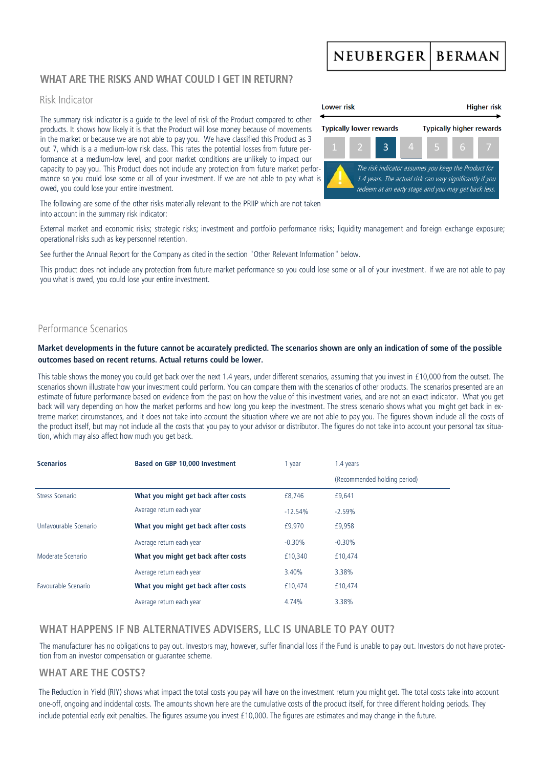#### **NEUBERGER BERMAN**

# WHAT ARE THE RISKS AND WHAT COULD LGET IN RETURN?

#### Risk Indicator

The summary risk indicator is a guide to the level of risk of the Product compared to other products. It shows how likely it is that the Product will lose money because of movements in the market or because we are not able to pay you. We have classified this Product as 3 out 7, which is a a medium-low risk class. This rates the potential losses from future performance at a medium-low level, and poor market conditions are unlikely to impact our capacity to pay you. This Product does not include any protection from future market performance so you could lose some or all of your investment. If we are not able to pay what is owed, you could lose your entire investment.



The following are some of the other risks materially relevant to the PRIIP which are not taken into account in the summary risk indicator:

External market and economic risks; strategic risks; investment and portfolio performance risks; liquidity management and foreign exchange exposure; operational risks such as key personnel retention.

See further the Annual Report for the Company as cited in the section "Other Relevant Information" below.

This product does not include any protection from future market performance so you could lose some or all of your investment. If we are not able to pay you what is owed, you could lose your entire investment.

# Performance Scenarios

#### **Market developments in the future cannot be accurately predicted. The scenarios shown are only an indication of some of the possible outcomes based on recent returns. Actual returns could be lower.**

This table shows the money you could get back over the next 1.4 years, under different scenarios, assuming that you invest in £10,000 from the outset. The scenarios shown illustrate how your investment could perform. You can compare them with the scenarios of other products. The scenarios presented are an estimate of future performance based on evidence from the past on how the value of this investment varies, and are not an exact indicator. What you get back will vary depending on how the market performs and how long you keep the investment. The stress scenario shows what you might get back in extreme market circumstances, and it does not take into account the situation where we are not able to pay you. The figures shown include all the costs of the product itself, but may not include all the costs that you pay to your advisor or distributor. The figures do not take into account your personal tax situation, which may also affect how much you get back.

| <b>Scenarios</b><br>Based on GBP 10,000 Investment |                                     | year      | 1.4 years                    |  |
|----------------------------------------------------|-------------------------------------|-----------|------------------------------|--|
|                                                    |                                     |           | (Recommended holding period) |  |
| Stress Scenario                                    | What you might get back after costs | £8,746    | £9,641                       |  |
|                                                    | Average return each year            | $-12.54%$ | $-2.59%$                     |  |
| Unfavourable Scenario                              | What you might get back after costs | £9,970    | £9,958                       |  |
|                                                    | Average return each year            | $-0.30%$  | $-0.30%$                     |  |
| Moderate Scenario                                  | What you might get back after costs | £10,340   | £10,474                      |  |
|                                                    | Average return each year            | 3.40%     | 3.38%                        |  |
| Favourable Scenario                                | What you might get back after costs | £10.474   | £10,474                      |  |
|                                                    | Average return each year            | 4.74%     | 3.38%                        |  |

# **WHAT HAPPENS IF NB ALTERNATIVES ADVISERS, LLC IS UNABLE TO PAY OUT?**

The manufacturer has no obligations to pay out. Investors may, however, suffer financial loss if the Fund is unable to pay out. Investors do not have protection from an investor compensation or guarantee scheme.

# **WHAT ARE THE COSTS?**

The Reduction in Yield (RIY) shows what impact the total costs you pay will have on the investment return you might get. The total costs take into account one-off, ongoing and incidental costs. The amounts shown here are the cumulative costs of the product itself, for three different holding periods. They include potential early exit penalties. The figures assume you invest £10,000. The figures are estimates and may change in the future.